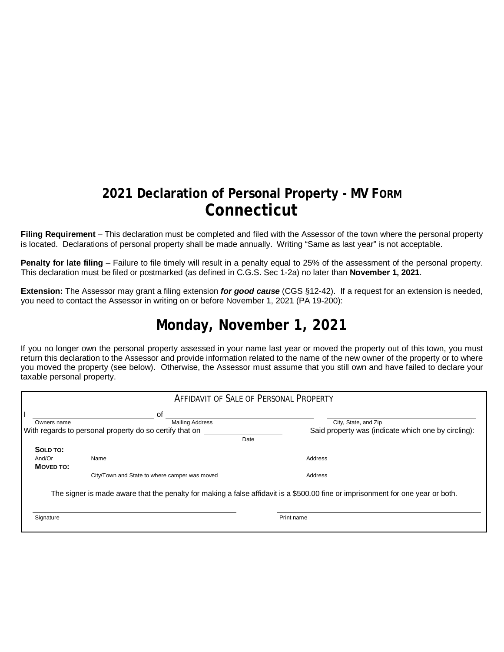## **2021 Declaration of Personal Property - MV FORM Connecticut**

**Filing Requirement** – This declaration must be completed and filed with the Assessor of the town where the personal property is located. Declarations of personal property shall be made annually. Writing "Same as last year" is not acceptable.

**Penalty for late filing** – Failure to file timely will result in a penalty equal to 25% of the assessment of the personal property. This declaration must be filed or postmarked (as defined in C.G.S. Sec 1-2a) no later than **November 1, 2021**.

**Extension:** The Assessor may grant a filing extension *for good cause* (CGS §12-42). If a request for an extension is needed, you need to contact the Assessor in writing on or before November 1, 2021 (PA 19-200):

## **Monday, November 1, 2021**

If you no longer own the personal property assessed in your name last year or moved the property out of this town, you must return this declaration to the Assessor and provide information related to the name of the new owner of the property or to where you moved the property (see below). Otherwise, the Assessor must assume that you still own and have failed to declare your taxable personal property.

| <b>AFFIDAVIT OF SALE OF PERSONAL PROPERTY</b>           |                                                                                                                                 |                                                     |  |  |  |  |
|---------------------------------------------------------|---------------------------------------------------------------------------------------------------------------------------------|-----------------------------------------------------|--|--|--|--|
|                                                         | οf                                                                                                                              |                                                     |  |  |  |  |
| Owners name                                             | <b>Mailing Address</b>                                                                                                          | City, State, and Zip                                |  |  |  |  |
| With regards to personal property do so certify that on |                                                                                                                                 | Said property was (indicate which one by circling): |  |  |  |  |
|                                                         | Date                                                                                                                            |                                                     |  |  |  |  |
| SOLD TO:                                                |                                                                                                                                 |                                                     |  |  |  |  |
| And/Or                                                  | Name                                                                                                                            | Address                                             |  |  |  |  |
| MOVED TO:                                               |                                                                                                                                 |                                                     |  |  |  |  |
|                                                         | City/Town and State to where camper was moved                                                                                   | Address                                             |  |  |  |  |
|                                                         | The signer is made aware that the penalty for making a false affidavit is a \$500.00 fine or imprisonment for one year or both. |                                                     |  |  |  |  |
| Signature                                               |                                                                                                                                 | Print name                                          |  |  |  |  |
|                                                         |                                                                                                                                 |                                                     |  |  |  |  |